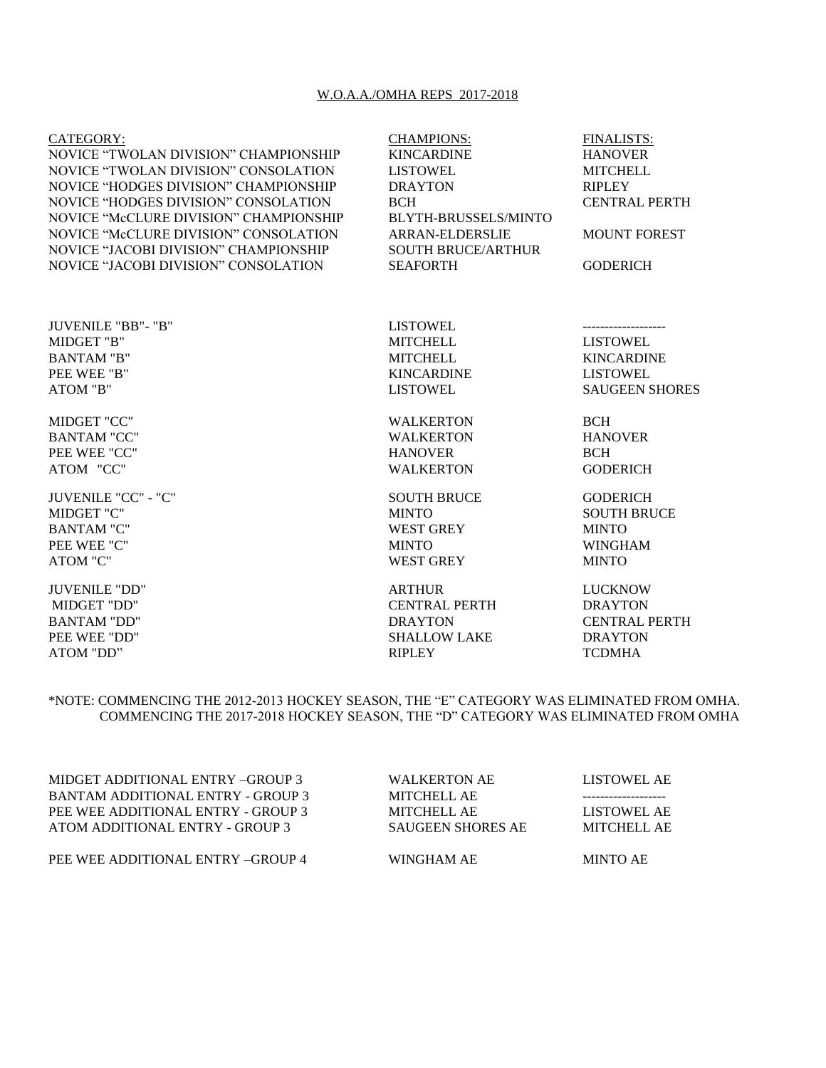## W.O.A.A./OMHA REPS 2017-2018

| CATEGORY:                                   | <b>CHAMPIONS:</b>           | <b>FINALISTS:</b>     |
|---------------------------------------------|-----------------------------|-----------------------|
| NOVICE "TWOLAN DIVISION" CHAMPIONSHIP       | <b>KINCARDINE</b>           | <b>HANOVER</b>        |
| NOVICE "TWOLAN DIVISION" CONSOLATION        | <b>LISTOWEL</b>             | <b>MITCHELL</b>       |
| NOVICE "HODGES DIVISION" CHAMPIONSHIP       | <b>DRAYTON</b>              | <b>RIPLEY</b>         |
| <b>NOVICE "HODGES DIVISION" CONSOLATION</b> | <b>BCH</b>                  | <b>CENTRAL PERTH</b>  |
| NOVICE "McCLURE DIVISION" CHAMPIONSHIP      | <b>BLYTH-BRUSSELS/MINTO</b> |                       |
| NOVICE "McCLURE DIVISION" CONSOLATION       | <b>ARRAN-ELDERSLIE</b>      | <b>MOUNT FOREST</b>   |
| NOVICE "JACOBI DIVISION" CHAMPIONSHIP       | <b>SOUTH BRUCE/ARTHUR</b>   |                       |
| NOVICE "JACOBI DIVISION" CONSOLATION        | <b>SEAFORTH</b>             | <b>GODERICH</b>       |
|                                             |                             |                       |
| JUVENILE "BB"- "B"                          | <b>LISTOWEL</b>             |                       |
| MIDGET "B"                                  | <b>MITCHELL</b>             | <b>LISTOWEL</b>       |
| <b>BANTAM "B"</b>                           | <b>MITCHELL</b>             | <b>KINCARDINE</b>     |
| PEE WEE "B"                                 | <b>KINCARDINE</b>           | <b>LISTOWEL</b>       |
| ATOM "B"                                    | <b>LISTOWEL</b>             | <b>SAUGEEN SHORES</b> |
| MIDGET "CC"                                 | <b>WALKERTON</b>            | <b>BCH</b>            |
| <b>BANTAM "CC"</b>                          | <b>WALKERTON</b>            | <b>HANOVER</b>        |
| PEE WEE "CC"                                | <b>HANOVER</b>              | <b>BCH</b>            |
| ATOM "CC"                                   | <b>WALKERTON</b>            | <b>GODERICH</b>       |
| JUVENILE "CC" - "C"                         | <b>SOUTH BRUCE</b>          | <b>GODERICH</b>       |
| MIDGET "C"                                  | <b>MINTO</b>                | <b>SOUTH BRUCE</b>    |
| <b>BANTAM "C"</b>                           | <b>WEST GREY</b>            | <b>MINTO</b>          |
| PEE WEE "C"                                 | <b>MINTO</b>                | <b>WINGHAM</b>        |
| ATOM "C"                                    | <b>WEST GREY</b>            | <b>MINTO</b>          |
| <b>JUVENILE "DD"</b>                        | <b>ARTHUR</b>               | <b>LUCKNOW</b>        |
| MIDGET "DD"                                 | <b>CENTRAL PERTH</b>        | <b>DRAYTON</b>        |

PEE WEE "DD" SHALLOW LAKE DRAYTON ATOM "DD" SHALLOW LAKE DRAYTON RIPLEY TCDMHA ATOM "DD" RIPLEY

BANTAM "DD" DRAYTON CENTRAL PERTH

\*NOTE: COMMENCING THE 2012-2013 HOCKEY SEASON, THE "E" CATEGORY WAS ELIMINATED FROM OMHA. COMMENCING THE 2017-2018 HOCKEY SEASON, THE "D" CATEGORY WAS ELIMINATED FROM OMHA

MIDGET ADDITIONAL ENTRY –GROUP 3 WALKERTON AE LISTOWEL AE BANTAM ADDITIONAL ENTRY - GROUP 3 MITCHELL AE ------------------- PEE WEE ADDITIONAL ENTRY - GROUP 3 MITCHELL AE LISTOWEL AE ATOM ADDITIONAL ENTRY - GROUP 3 SAUGEEN SHORES AE MITCHELL AE

PEE WEE ADDITIONAL ENTRY –GROUP 4 WINGHAM AE MINTO AE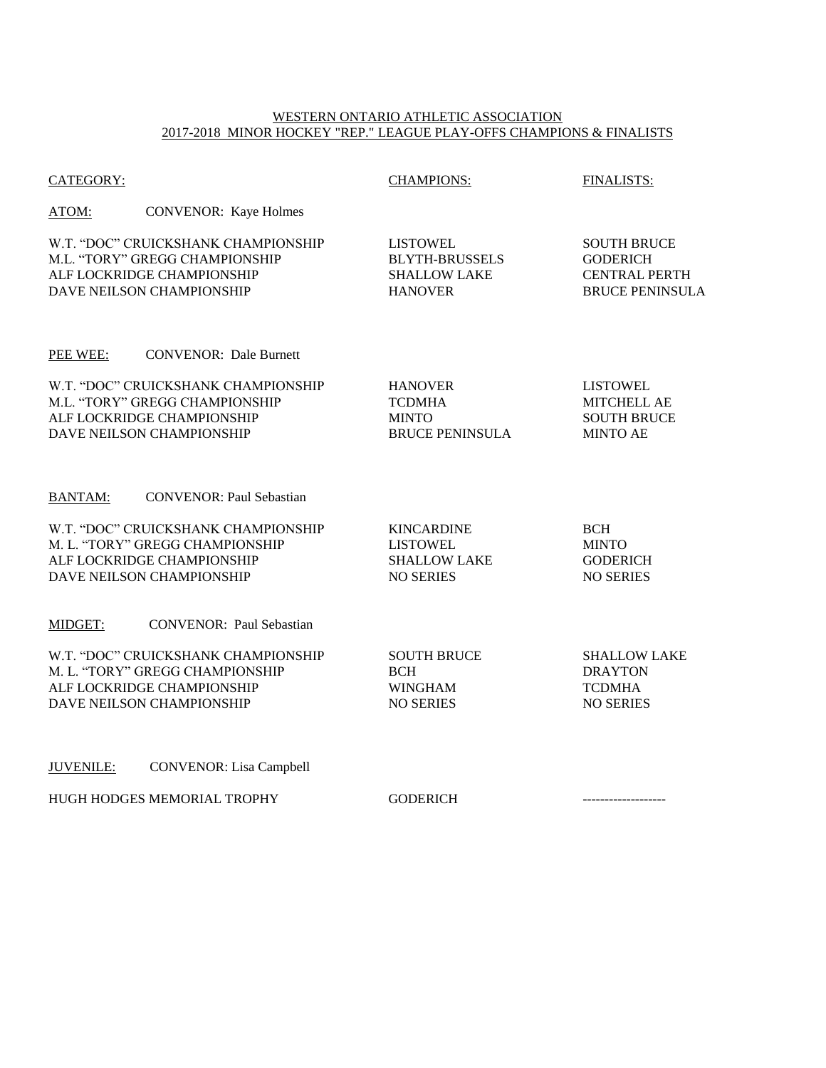## WESTERN ONTARIO ATHLETIC ASSOCIATION 2017-2018 MINOR HOCKEY "REP." LEAGUE PLAY-OFFS CHAMPIONS & FINALISTS

| <b>CATEGORY:</b>                                                                                                                  | <b>CHAMPIONS:</b>                                                                 | <b>FINALISTS:</b>                                                                       |
|-----------------------------------------------------------------------------------------------------------------------------------|-----------------------------------------------------------------------------------|-----------------------------------------------------------------------------------------|
| ATOM:<br><b>CONVENOR:</b> Kaye Holmes                                                                                             |                                                                                   |                                                                                         |
| W.T. "DOC" CRUICKSHANK CHAMPIONSHIP<br>M.L. "TORY" GREGG CHAMPIONSHIP<br>ALF LOCKRIDGE CHAMPIONSHIP<br>DAVE NEILSON CHAMPIONSHIP  | <b>LISTOWEL</b><br><b>BLYTH-BRUSSELS</b><br><b>SHALLOW LAKE</b><br><b>HANOVER</b> | <b>SOUTH BRUCE</b><br><b>GODERICH</b><br><b>CENTRAL PERTH</b><br><b>BRUCE PENINSULA</b> |
| PEE WEE:<br><b>CONVENOR: Dale Burnett</b>                                                                                         |                                                                                   |                                                                                         |
| W.T. "DOC" CRUICKSHANK CHAMPIONSHIP<br>M.L. "TORY" GREGG CHAMPIONSHIP<br>ALF LOCKRIDGE CHAMPIONSHIP<br>DAVE NEILSON CHAMPIONSHIP  | <b>HANOVER</b><br><b>TCDMHA</b><br><b>MINTO</b><br><b>BRUCE PENINSULA</b>         | <b>LISTOWEL</b><br><b>MITCHELL AE</b><br><b>SOUTH BRUCE</b><br><b>MINTO AE</b>          |
| <b>CONVENOR: Paul Sebastian</b><br><b>BANTAM:</b>                                                                                 |                                                                                   |                                                                                         |
| W.T. "DOC" CRUICKSHANK CHAMPIONSHIP<br>M. L. "TORY" GREGG CHAMPIONSHIP<br>ALF LOCKRIDGE CHAMPIONSHIP<br>DAVE NEILSON CHAMPIONSHIP | <b>KINCARDINE</b><br><b>LISTOWEL</b><br><b>SHALLOW LAKE</b><br><b>NO SERIES</b>   | <b>BCH</b><br><b>MINTO</b><br><b>GODERICH</b><br><b>NO SERIES</b>                       |
| MIDGET:<br><b>CONVENOR: Paul Sebastian</b>                                                                                        |                                                                                   |                                                                                         |
| W.T. "DOC" CRUICKSHANK CHAMPIONSHIP<br>M. L. "TORY" GREGG CHAMPIONSHIP<br>ALF LOCKRIDGE CHAMPIONSHIP<br>DAVE NEILSON CHAMPIONSHIP | <b>SOUTH BRUCE</b><br><b>BCH</b><br><b>WINGHAM</b><br><b>NO SERIES</b>            | <b>SHALLOW LAKE</b><br><b>DRAYTON</b><br><b>TCDMHA</b><br><b>NO SERIES</b>              |
| <b>JUVENILE:</b><br><b>CONVENOR:</b> Lisa Campbell                                                                                |                                                                                   |                                                                                         |
| HUGH HODGES MEMORIAL TROPHY                                                                                                       | <b>GODERICH</b>                                                                   |                                                                                         |